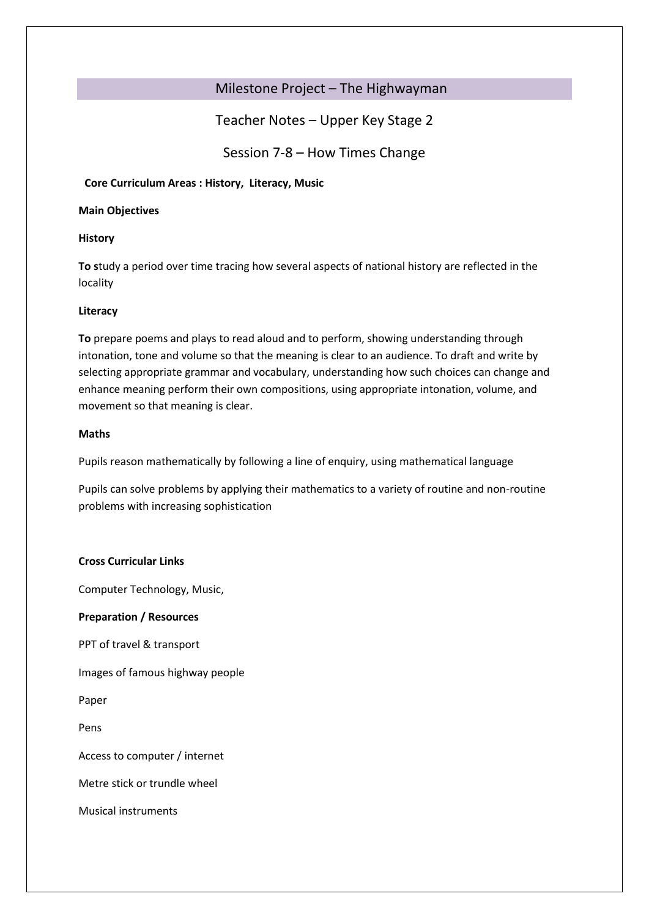# Milestone Project – The Highwayman

# Teacher Notes – Upper Key Stage 2

Session 7-8 – How Times Change

# **Core Curriculum Areas : History, Literacy, Music**

### **Main Objectives**

# **History**

**To s**tudy a period over time tracing how several aspects of national history are reflected in the locality

# **Literacy**

**To** prepare poems and plays to read aloud and to perform, showing understanding through intonation, tone and volume so that the meaning is clear to an audience. To draft and write by selecting appropriate grammar and vocabulary, understanding how such choices can change and enhance meaning perform their own compositions, using appropriate intonation, volume, and movement so that meaning is clear.

# **Maths**

Pupils reason mathematically by following a line of enquiry, using mathematical language

Pupils can solve problems by applying their mathematics to a variety of routine and non-routine problems with increasing sophistication

# **Cross Curricular Links**

Computer Technology, Music,

# **Preparation / Resources**

PPT of travel & transport

Images of famous highway people

Paper

Pens

Access to computer / internet

Metre stick or trundle wheel

Musical instruments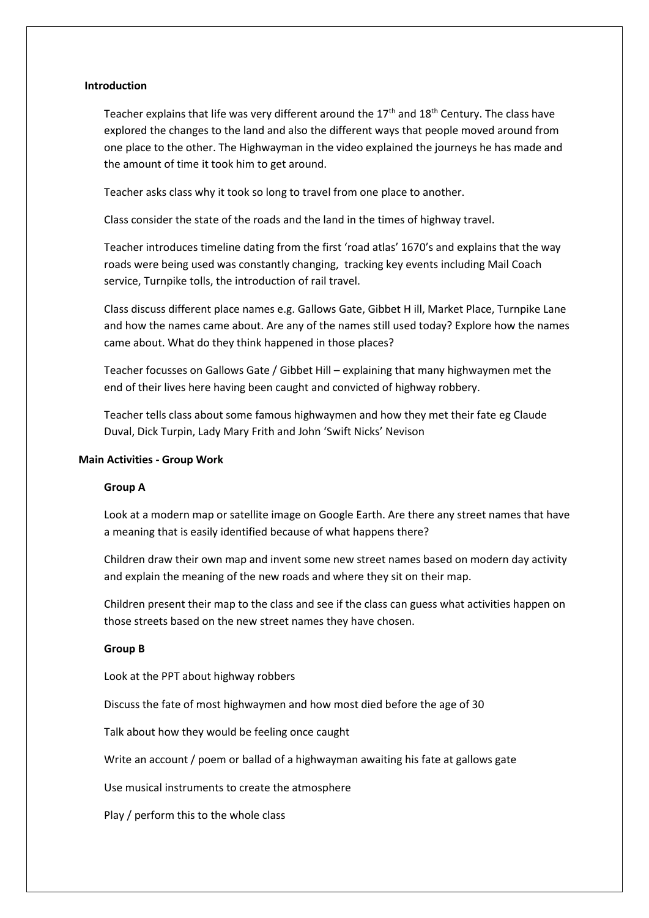#### **Introduction**

Teacher explains that life was very different around the  $17<sup>th</sup>$  and  $18<sup>th</sup>$  Century. The class have explored the changes to the land and also the different ways that people moved around from one place to the other. The Highwayman in the video explained the journeys he has made and the amount of time it took him to get around.

Teacher asks class why it took so long to travel from one place to another.

Class consider the state of the roads and the land in the times of highway travel.

Teacher introduces timeline dating from the first 'road atlas' 1670's and explains that the way roads were being used was constantly changing, tracking key events including Mail Coach service, Turnpike tolls, the introduction of rail travel.

Class discuss different place names e.g. Gallows Gate, Gibbet H ill, Market Place, Turnpike Lane and how the names came about. Are any of the names still used today? Explore how the names came about. What do they think happened in those places?

Teacher focusses on Gallows Gate / Gibbet Hill – explaining that many highwaymen met the end of their lives here having been caught and convicted of highway robbery.

Teacher tells class about some famous highwaymen and how they met their fate eg Claude Duval, Dick Turpin, Lady Mary Frith and John 'Swift Nicks' Nevison

#### **Main Activities - Group Work**

#### **Group A**

Look at a modern map or satellite image on Google Earth. Are there any street names that have a meaning that is easily identified because of what happens there?

Children draw their own map and invent some new street names based on modern day activity and explain the meaning of the new roads and where they sit on their map.

Children present their map to the class and see if the class can guess what activities happen on those streets based on the new street names they have chosen.

#### **Group B**

Look at the PPT about highway robbers

Discuss the fate of most highwaymen and how most died before the age of 30

Talk about how they would be feeling once caught

Write an account / poem or ballad of a highwayman awaiting his fate at gallows gate

Use musical instruments to create the atmosphere

Play / perform this to the whole class